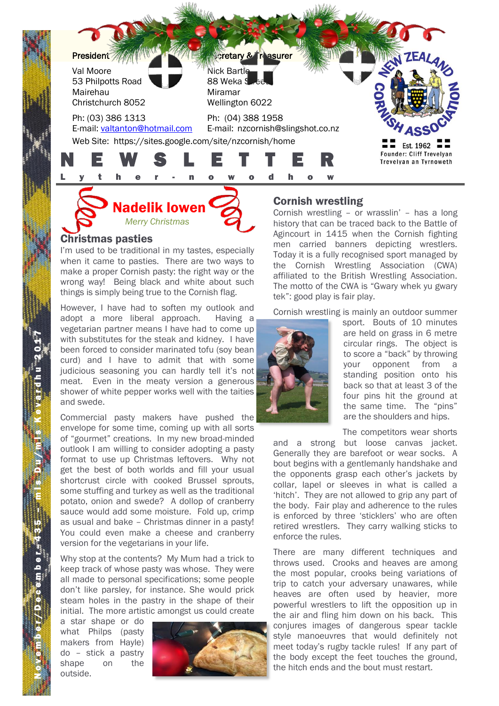

Nadelik lowen *Merry Christmas*

#### Christmas pasties

I'm used to be traditional in my tastes, especially when it came to pasties. There are two ways to make a proper Cornish pasty: the right way or the wrong way! Being black and white about such things is simply being true to the Cornish flag.

However, I have had to soften my outlook and adopt a more liberal approach. Having a vegetarian partner means I have had to come up with substitutes for the steak and kidney. I have been forced to consider marinated tofu (soy bean curd) and I have to admit that with some judicious seasoning you can hardly tell it's not meat. Even in the meaty version a generous shower of white pepper works well with the taities and swede.

Commercial pasty makers have pushed the envelope for some time, coming up with all sorts of "gourmet" creations. In my new broad-minded outlook I am willing to consider adopting a pasty format to use up Christmas leftovers. Why not get the best of both worlds and fill your usual shortcrust circle with cooked Brussel sprouts, some stuffing and turkey as well as the traditional potato, onion and swede? A dollop of cranberry sauce would add some moisture. Fold up, crimp as usual and bake – Christmas dinner in a pasty! You could even make a cheese and cranberry version for the vegetarians in your life.

Why stop at the contents? My Mum had a trick to keep track of whose pasty was whose. They were all made to personal specifications; some people don't like parsley, for instance. She would prick steam holes in the pastry in the shape of their initial. The more artistic amongst us could create

a star shape or do what Philps (pasty makers from Hayle) do – stick a pastry shape on the outside.



# Cornish wrestling

Cornish wrestling – or wrasslin' – has a long history that can be traced back to the Battle of Agincourt in 1415 when the Cornish fighting men carried banners depicting wrestlers. Today it is a fully recognised sport managed by the Cornish Wrestling Association (CWA) affiliated to the British Wrestling Association. The motto of the CWA is "Gwary whek yu gwary tek": good play is fair play.

Cornish wrestling is mainly an outdoor summer



sport. Bouts of 10 minutes are held on grass in 6 metre circular rings. The object is to score a "back" by throwing your opponent from a standing position onto his back so that at least 3 of the four pins hit the ground at the same time. The "pins" are the shoulders and hips.

The competitors wear shorts

and a strong but loose canvas jacket. Generally they are barefoot or wear socks. A bout begins with a gentlemanly handshake and the opponents grasp each other's jackets by collar, lapel or sleeves in what is called a 'hitch'. They are not allowed to grip any part of the body. Fair play and adherence to the rules is enforced by three 'sticklers' who are often retired wrestlers. They carry walking sticks to enforce the rules.

There are many different techniques and throws used. Crooks and heaves are among the most popular, crooks being variations of trip to catch your adversary unawares, while heaves are often used by heavier, more powerful wrestlers to lift the opposition up in the air and fling him down on his back. This conjures images of dangerous spear tackle style manoeuvres that would definitely not meet today's rugby tackle rules! If any part of the body except the feet touches the ground, the hitch ends and the bout must restart.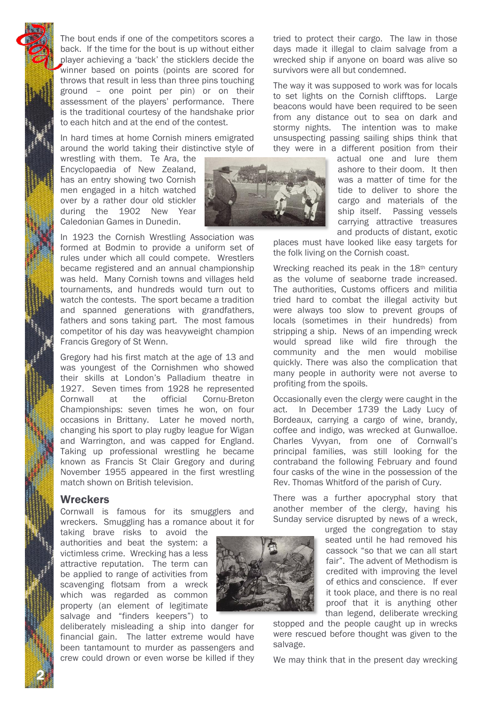The bout ends if one of the competitors scores a back. If the time for the bout is up without either player achieving a 'back' the sticklers decide the winner based on points (points are scored for throws that result in less than three pins touching ground – one point per pin) or on their assessment of the players' performance. There is the traditional courtesy of the handshake prior to each hitch and at the end of the contest.

In hard times at home Cornish miners emigrated around the world taking their distinctive style of

wrestling with them. Te Ara, the Encyclopaedia of New Zealand, has an entry showing two Cornish men engaged in a hitch watched over by a rather dour old stickler during the 1902 New Year Caledonian Games in Dunedin.



In 1923 the Cornish Wrestling Association was formed at Bodmin to provide a uniform set of rules under which all could compete. Wrestlers became registered and an annual championship was held. Many Cornish towns and villages held tournaments, and hundreds would turn out to watch the contests. The sport became a tradition and spanned generations with grandfathers, fathers and sons taking part. The most famous competitor of his day was heavyweight champion Francis Gregory of St Wenn.

Gregory had his first match at the age of 13 and was youngest of the Cornishmen who showed their skills at London's Palladium theatre in 1927. Seven times from 1928 he represented Cornwall at the official Cornu-Breton Championships: seven times he won, on four occasions in Brittany. Later he moved north, changing his sport to play rugby league for Wigan and Warrington, and was capped for England. Taking up professional wrestling he became known as Francis St Clair Gregory and during November 1955 appeared in the first wrestling match shown on British television.

#### **Wreckers**

2 N

Cornwall is famous for its smugglers and wreckers. Smuggling has a romance about it for

taking brave risks to avoid the authorities and beat the system: a victimless crime. Wrecking has a less attractive reputation. The term can be applied to range of activities from scavenging flotsam from a wreck which was regarded as common property (an element of legitimate salvage and "finders keepers") to

deliberately misleading a ship into danger for financial gain. The latter extreme would have been tantamount to murder as passengers and crew could drown or even worse be killed if they tried to protect their cargo. The law in those days made it illegal to claim salvage from a wrecked ship if anyone on board was alive so survivors were all but condemned.

The way it was supposed to work was for locals to set lights on the Cornish clifftops. Large beacons would have been required to be seen from any distance out to sea on dark and stormy nights. The intention was to make unsuspecting passing sailing ships think that they were in a different position from their

actual one and lure them ashore to their doom. It then was a matter of time for the tide to deliver to shore the cargo and materials of the ship itself. Passing vessels carrying attractive treasures and products of distant, exotic

places must have looked like easy targets for the folk living on the Cornish coast.

Wrecking reached its peak in the 18<sup>th</sup> century as the volume of seaborne trade increased. The authorities, Customs officers and militia tried hard to combat the illegal activity but were always too slow to prevent groups of locals (sometimes in their hundreds) from stripping a ship. News of an impending wreck would spread like wild fire through the community and the men would mobilise quickly. There was also the complication that many people in authority were not averse to profiting from the spoils.

Occasionally even the clergy were caught in the act. In December 1739 the Lady Lucy of Bordeaux, carrying a cargo of wine, brandy, coffee and indigo, was wrecked at Gunwalloe. Charles Vyvyan, from one of Cornwall's principal families, was still looking for the contraband the following February and found four casks of the wine in the possession of the Rev. Thomas Whitford of the parish of Cury.

There was a further apocryphal story that another member of the clergy, having his Sunday service disrupted by news of a wreck,

> urged the congregation to stay seated until he had removed his cassock "so that we can all start fair". The advent of Methodism is credited with improving the level of ethics and conscience. If ever it took place, and there is no real proof that it is anything other than legend, deliberate wrecking

stopped and the people caught up in wrecks were rescued before thought was given to the salvage.

We may think that in the present day wrecking

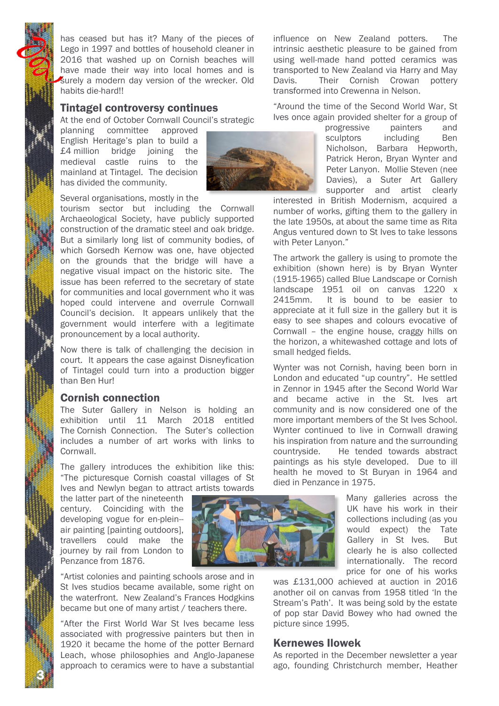has ceased but has it? Many of the pieces of Lego in 1997 and bottles of household cleaner in 2016 that washed up on Cornish beaches will have made their way into local homes and is surely a modern day version of the wrecker. Old habits die-hard!!

### Tintagel controversy continues

At the end of October Cornwall Council's strategic

planning committee approved English Heritage's plan to build a £4 million bridge joining the medieval castle ruins to the mainland at Tintagel. The decision has divided the community.



Several organisations, mostly in the

tourism sector but including the Cornwall Archaeological Society, have publicly supported construction of the dramatic steel and oak bridge. But a similarly long list of community bodies, of which Gorsedh Kernow was one, have objected on the grounds that the bridge will have a negative visual impact on the historic site. The issue has been referred to the secretary of state for communities and local government who it was hoped could intervene and overrule Cornwall Council's decision. It appears unlikely that the government would interfere with a legitimate pronouncement by a local authority.

Now there is talk of challenging the decision in court. It appears the case against Disneyfication of Tintagel could turn into a production bigger than Ben Hur!

### Cornish connection

The Suter Gallery in Nelson is holding an exhibition until 11 March 2018 entitled The Cornish Connection. The Suter's collection includes a number of art works with links to Cornwall.

The gallery introduces the exhibition like this: "The picturesque Cornish coastal villages of St Ives and Newlyn began to attract artists towards

the latter part of the nineteenth century. Coinciding with the developing vogue for en-plein- air painting [painting outdoors], travellers could make the journey by rail from London to Penzance from 1876.

3 N



"Artist colonies and painting schools arose and in St Ives studios became available, some right on the waterfront. New Zealand's Frances Hodgkins became but one of many artist / teachers there.

"After the First World War St Ives became less associated with progressive painters but then in 1920 it became the home of the potter Bernard Leach, whose philosophies and Anglo-Japanese approach to ceramics were to have a substantial influence on New Zealand potters. The intrinsic aesthetic pleasure to be gained from using well-made hand potted ceramics was transported to New Zealand via Harry and May Davis. Their Cornish Crowan pottery transformed into Crewenna in Nelson.

"Around the time of the Second World War, St Ives once again provided shelter for a group of

> progressive painters and sculptors including Ben Nicholson, Barbara Hepworth, Patrick Heron, Bryan Wynter and Peter Lanyon. Mollie Steven (nee Davies), a Suter Art Gallery supporter and artist clearly

interested in British Modernism, acquired a number of works, gifting them to the gallery in the late 1950s, at about the same time as Rita Angus ventured down to St Ives to take lessons with Peter Lanyon."

The artwork the gallery is using to promote the exhibition (shown here) is by Bryan Wynter (1915-1965) called Blue Landscape or Cornish landscape 1951 oil on canvas 1220 x 2415mm. It is bound to be easier to appreciate at it full size in the gallery but it is easy to see shapes and colours evocative of Cornwall – the engine house, craggy hills on the horizon, a whitewashed cottage and lots of small hedged fields.

Wynter was not Cornish, having been born in London and educated "up country". He settled in Zennor in 1945 after the Second World War and became active in the St. Ives art community and is now considered one of the more important members of the St Ives School. Wynter continued to live in Cornwall drawing his inspiration from nature and the surrounding countryside. He tended towards abstract paintings as his style developed. Due to ill health he moved to St Buryan in 1964 and died in Penzance in 1975.

> Many galleries across the UK have his work in their collections including (as you would expect) the Tate Gallery in St Ives. But clearly he is also collected internationally. The record price for one of his works

was £131,000 achieved at auction in 2016 another oil on canvas from 1958 titled 'In the Stream's Path'. It was being sold by the estate of pop star David Bowey who had owned the picture since 1995.

# Kernewes Ilowek

As reported in the December newsletter a year ago, founding Christchurch member, Heather